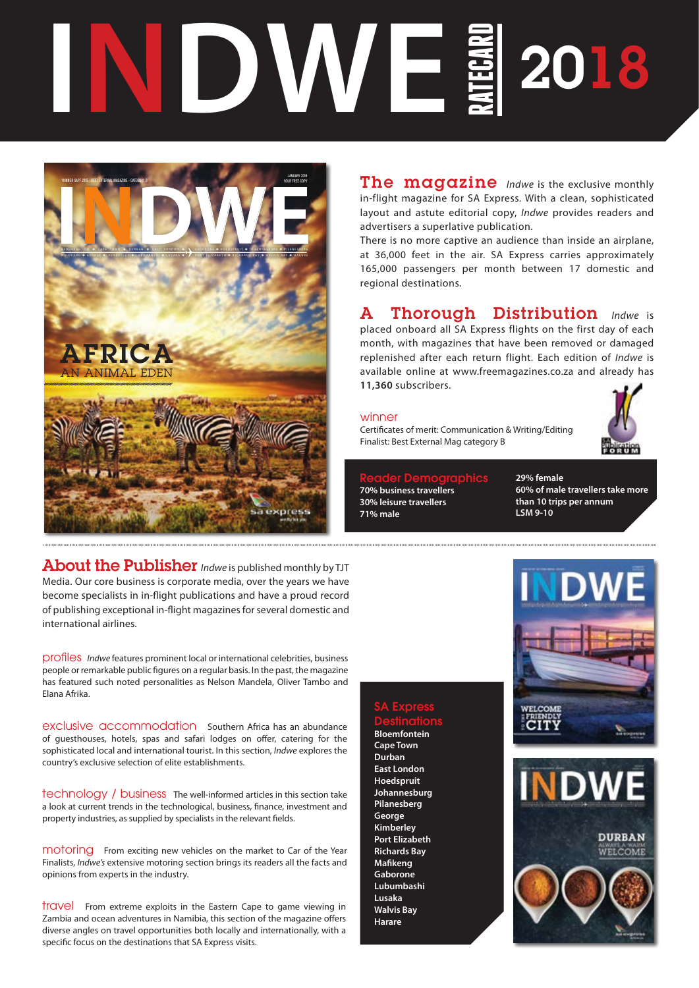# **RANDWEE** 2018



About the Publisher *Indwe* is published monthly by TJT Media. Our core business is corporate media, over the years we have become specialists in in-flight publications and have a proud record of publishing exceptional in-flight magazines for several domestic and international airlines.

profiles *Indwe* features prominent local or international celebrities, business people or remarkable public figures on a regular basis. In the past, the magazine has featured such noted personalities as Nelson Mandela, Oliver Tambo and Elana Afrika.

exclusive accommodation southern Africa has an abundance of guesthouses, hotels, spas and safari lodges on offer, catering for the sophisticated local and international tourist. In this section, *Indwe* explores the country's exclusive selection of elite establishments.

technology / business The well-informed articles in this section take a look at current trends in the technological, business, finance, investment and property industries, as supplied by specialists in the relevant fields.

motoring From exciting new vehicles on the market to Car of the Year Finalists, *Indwe's* extensive motoring section brings its readers all the facts and opinions from experts in the industry.

travel From extreme exploits in the Eastern Cape to game viewing in Zambia and ocean adventures in Namibia, this section of the magazine offers diverse angles on travel opportunities both locally and internationally, with a specific focus on the destinations that SA Express visits.

The magazine *Indwe* is the exclusive monthly in-flight magazine for SA Express. With a clean, sophisticated layout and astute editorial copy, *Indwe* provides readers and advertisers a superlative publication.

There is no more captive an audience than inside an airplane, at 36,000 feet in the air. SA Express carries approximately 165,000 passengers per month between 17 domestic and regional destinations.

A Thorough Distribution *Indwe* is placed onboard all SA Express flights on the first day of each month, with magazines that have been removed or damaged replenished after each return flight. Each edition of *Indwe* is available online at www.freemagazines.co.za and already has **11,360** subscribers.

### winner

Certificates of merit: Communication & Writing/Editing Finalist: Best External Mag category B

Reader Demographics **70% business travellers 30% leisure travellers 71% male**

**29% female 60% of male travellers take more than 10 trips per annum LSM 9-10**

# SA Express **Destinations**

**Bloemfontein Cape Town Durban East London Hoedspruit Johannesburg Pilanesberg George Kimberley Port Elizabeth Richards Bay Mafikeng Gaborone Lubumbashi Lusaka Walvis Bay Harare**